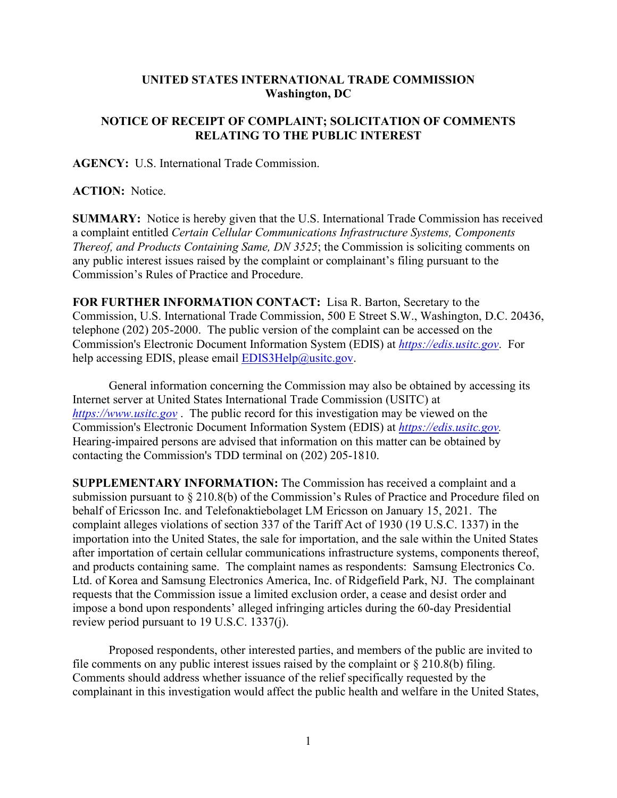## **UNITED STATES INTERNATIONAL TRADE COMMISSION Washington, DC**

## **NOTICE OF RECEIPT OF COMPLAINT; SOLICITATION OF COMMENTS RELATING TO THE PUBLIC INTEREST**

**AGENCY:** U.S. International Trade Commission.

**ACTION:** Notice.

**SUMMARY:** Notice is hereby given that the U.S. International Trade Commission has received a complaint entitled *Certain Cellular Communications Infrastructure Systems, Components Thereof, and Products Containing Same, DN 3525*; the Commission is soliciting comments on any public interest issues raised by the complaint or complainant's filing pursuant to the Commission's Rules of Practice and Procedure.

**FOR FURTHER INFORMATION CONTACT:** Lisa R. Barton, Secretary to the Commission, U.S. International Trade Commission, 500 E Street S.W., Washington, D.C. 20436, telephone (202) 205-2000. The public version of the complaint can be accessed on the Commission's Electronic Document Information System (EDIS) at *[https://edis.usitc.gov](https://edis.usitc.gov/)*. For help accessing EDIS, please email  $EDIS3Help@usite.gov$ .

General information concerning the Commission may also be obtained by accessing its Internet server at United States International Trade Commission (USITC) at *[https://www.usitc.gov](https://www.usitc.gov/)* . The public record for this investigation may be viewed on the Commission's Electronic Document Information System (EDIS) at *[https://edis.usitc.gov.](https://edis.usitc.gov/)* Hearing-impaired persons are advised that information on this matter can be obtained by contacting the Commission's TDD terminal on (202) 205-1810.

**SUPPLEMENTARY INFORMATION:** The Commission has received a complaint and a submission pursuant to § 210.8(b) of the Commission's Rules of Practice and Procedure filed on behalf of Ericsson Inc. and Telefonaktiebolaget LM Ericsson on January 15, 2021. The complaint alleges violations of section 337 of the Tariff Act of 1930 (19 U.S.C. 1337) in the importation into the United States, the sale for importation, and the sale within the United States after importation of certain cellular communications infrastructure systems, components thereof, and products containing same. The complaint names as respondents: Samsung Electronics Co. Ltd. of Korea and Samsung Electronics America, Inc. of Ridgefield Park, NJ. The complainant requests that the Commission issue a limited exclusion order, a cease and desist order and impose a bond upon respondents' alleged infringing articles during the 60-day Presidential review period pursuant to 19 U.S.C. 1337(j).

Proposed respondents, other interested parties, and members of the public are invited to file comments on any public interest issues raised by the complaint or § 210.8(b) filing. Comments should address whether issuance of the relief specifically requested by the complainant in this investigation would affect the public health and welfare in the United States,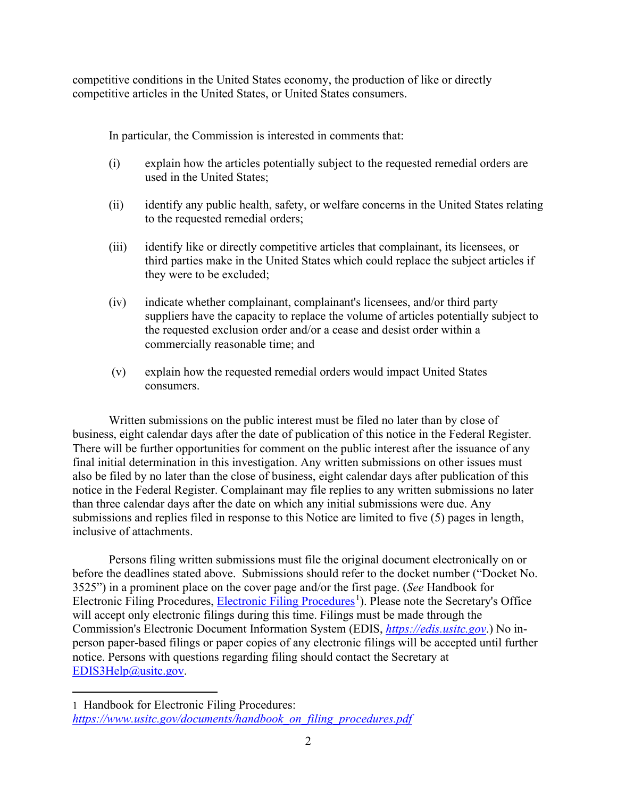competitive conditions in the United States economy, the production of like or directly competitive articles in the United States, or United States consumers.

In particular, the Commission is interested in comments that:

- (i) explain how the articles potentially subject to the requested remedial orders are used in the United States;
- (ii) identify any public health, safety, or welfare concerns in the United States relating to the requested remedial orders;
- (iii) identify like or directly competitive articles that complainant, its licensees, or third parties make in the United States which could replace the subject articles if they were to be excluded;
- (iv) indicate whether complainant, complainant's licensees, and/or third party suppliers have the capacity to replace the volume of articles potentially subject to the requested exclusion order and/or a cease and desist order within a commercially reasonable time; and
- (v) explain how the requested remedial orders would impact United States consumers.

Written submissions on the public interest must be filed no later than by close of business, eight calendar days after the date of publication of this notice in the Federal Register. There will be further opportunities for comment on the public interest after the issuance of any final initial determination in this investigation. Any written submissions on other issues must also be filed by no later than the close of business, eight calendar days after publication of this notice in the Federal Register. Complainant may file replies to any written submissions no later than three calendar days after the date on which any initial submissions were due. Any submissions and replies filed in response to this Notice are limited to five (5) pages in length, inclusive of attachments.

Persons filing written submissions must file the original document electronically on or before the deadlines stated above. Submissions should refer to the docket number ("Docket No. 3525") in a prominent place on the cover page and/or the first page. (*See* Handbook for Electronic Filing Procedures, [Electronic Filing Procedures](https://www.usitc.gov/documents/handbook_on_filing_procedures.pdf)<sup>[1](#page-1-0)</sup>). Please note the Secretary's Office will accept only electronic filings during this time. Filings must be made through the Commission's Electronic Document Information System (EDIS, *[https://edis.usitc.gov](https://edis.usitc.gov/)*.) No inperson paper-based filings or paper copies of any electronic filings will be accepted until further notice. Persons with questions regarding filing should contact the Secretary at [EDIS3Help@usitc.gov.](mailto:EDIS3Help@usitc.gov)

<span id="page-1-0"></span><sup>1</sup> Handbook for Electronic Filing Procedures: *[https://www.usitc.gov/documents/handbook\\_on\\_filing\\_procedures.pdf](https://www.usitc.gov/documents/handbook_on_filing_procedures.pdf)*